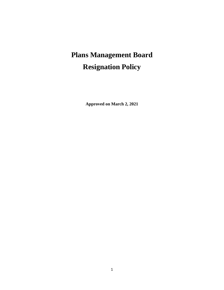# **Plans Management Board Resignation Policy**

**Approved on March 2, 2021**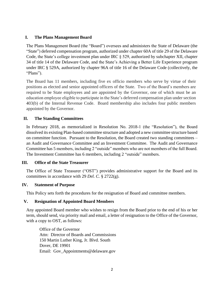## **I. The Plans Management Board**

The Plans Management Board (the "Board") oversees and administers the State of Delaware (the "State") deferred compensation program, authorized under chapter 60A of title 29 of the Delaware Code, the State's college investment plan under IRC § 529, authorized by subchapter XII, chapter 34 of title 14 of the Delaware Code, and the State's Achieving a Better Life Experience program under IRC § 529A, authorized by chapter 96A of title 16 of the Delaware Code (collectively, the "Plans").

The Board has 11 members, including five ex officio members who serve by virtue of their positions as elected and senior appointed officers of the State. Two of the Board's members are required to be State employees and are appointed by the Governor, one of which must be an education employee eligible to participate in the State's deferred compensation plan under section 403(b) of the Internal Revenue Code. Board membership also includes four public members appointed by the Governor.

## **II. The Standing Committees**

In February 2018, as memorialized in Resolution No. 2018-1 (the "Resolution"), the Board dissolved its existing Plan-based committee structure and adopted a new committee structure based on committee function. Pursuant to the Resolution, the Board created two standing committees – an Audit and Governance Committee and an Investment Committee. The Audit and Governance Committee has 5 members, including 2 "outside" members who are not members of the full Board. The Investment Committee has 6 members, including 2 "outside" members.

#### **III. Office of the State Treasurer**

The Office of State Treasurer ("OST") provides administrative support for the Board and its committees in accordance with 29 *Del. C.* § 2722(g).

#### **IV. Statement of Purpose**

This Policy sets forth the procedures for the resignation of Board and committee members.

#### **V. Resignation of Appointed Board Members**

Any appointed Board member who wishes to resign from the Board prior to the end of his or her term, should send, via priority mail and email, a letter of resignation to the Office of the Governor, with a copy to OST, as follows:

Office of the Governor Attn: Director of Boards and Commissions 150 Martin Luther King, Jr. Blvd. South Dover, DE 19901 Email: Gov\_Appointments@delaware.gov